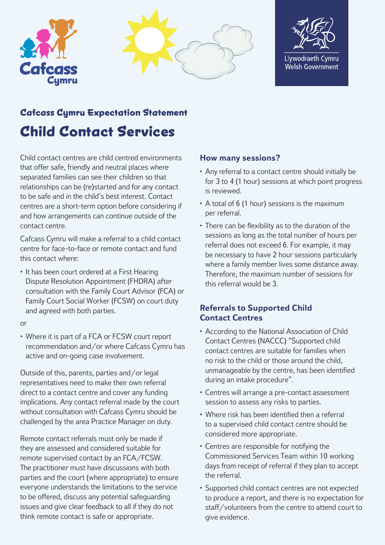





# **Cafcass Cymru Expectation Statement Child Contact Services**

Child contact centres are child centred environments that offer safe, friendly and neutral places where separated families can see their children so that relationships can be (re)started and for any contact to be safe and in the child's best interest. Contact centres are a short-term option before considering if and how arrangements can continue outside of the contact centre.

Cafcass Cymru will make a referral to a child contact centre for face-to-face or remote contact and fund this contact where:

• It has been court ordered at a First Hearing Dispute Resolution Appointment (FHDRA) after consultation with the Family Court Advisor (FCA) or Family Court Social Worker (FCSW) on court duty and agreed with both parties.

or

• Where it is part of a FCA or FCSW court report recommendation and/or where Cafcass Cymru has active and on-going case involvement.

Outside of this, parents, parties and/or legal representatives need to make their own referral direct to a contact centre and cover any funding implications. Any contact referral made by the court without consultation with Cafcass Cymru should be challenged by the area Practice Manager on duty.

Remote contact referrals must only be made if they are assessed and considered suitable for remote supervised contact by an FCA/FCSW. The practitioner must have discussions with both parties and the court (where appropriate) to ensure everyone understands the limitations to the service to be offered, discuss any potential safeguarding issues and give clear feedback to all if they do not think remote contact is safe or appropriate.

## **How many sessions?**

- Any referral to a contact centre should initially be for 3 to 4 (1 hour) sessions at which point progress is reviewed.
- A total of 6 (1 hour) sessions is the maximum per referral.
- There can be flexibility as to the duration of the sessions as long as the total number of hours per referral does not exceed 6. For example, it may be necessary to have 2 hour sessions particularly where a family member lives some distance away. Therefore, the maximum number of sessions for this referral would be 3.

### **Referrals to Supported Child Contact Centres**

- According to the National Association of Child Contact Centres (NACCC) "Supported child contact centres are suitable for families when no risk to the child or those around the child, unmanageable by the centre, has been identified during an intake procedure".
- Centres will arrange a pre-contact assessment session to assess any risks to parties.
- Where risk has been identified then a referral to a supervised child contact centre should be considered more appropriate.
- Centres are responsible for notifying the Commissioned Services Team within 10 working days from receipt of referral if they plan to accept the referral.
- Supported child contact centres are not expected to produce a report, and there is no expectation for staff/volunteers from the centre to attend court to give evidence.